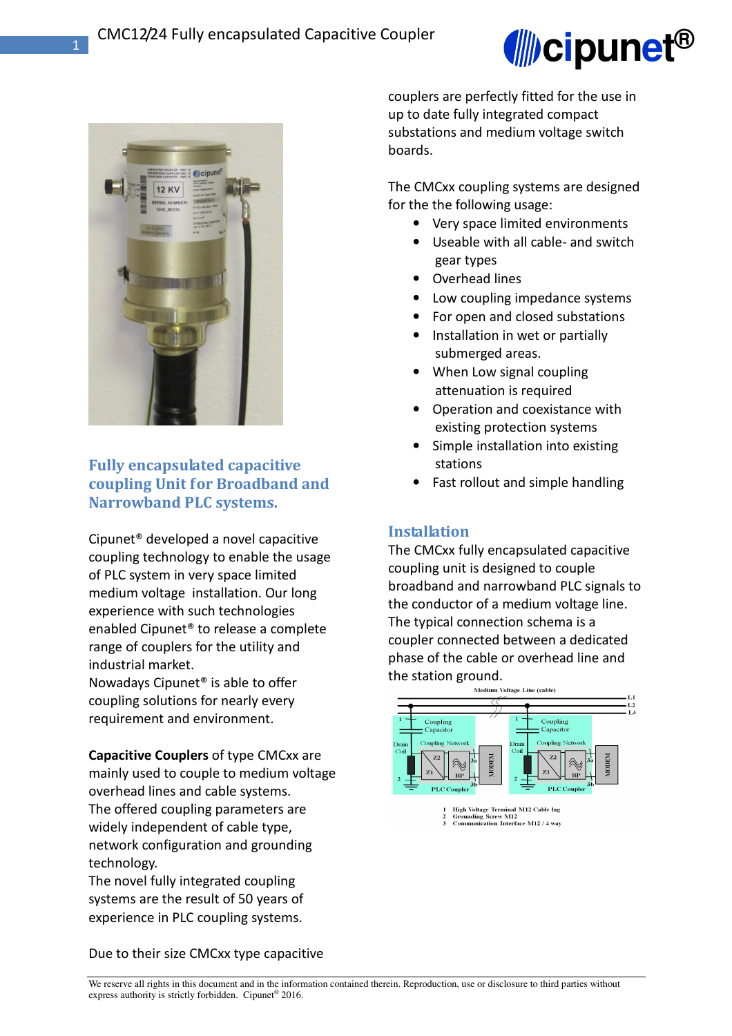



## **Fully encapsulated capacitive coupling Unit for Broadband and Narrowband PLC systems.**

Cipunet® developed a novel capacitive coupling technology to enable the usage of PLC system in very space limited medium voltage installation. Our long experience with such technologies enabled Cipunet® to release a complete range of couplers for the utility and industrial market.

Nowadays Cipunet® is able to offer coupling solutions for nearly every requirement and environment.

**Capacitive Couplers** of type CMCxx are mainly used to couple to medium voltage overhead lines and cable systems. The offered coupling parameters are widely independent of cable type, network configuration and grounding technology.

The novel fully integrated coupling systems are the result of 50 years of experience in PLC coupling systems.

couplers are perfectly fitted for the use in up to date fully integrated compact substations and medium voltage switch boards.

The CMCxx coupling systems are designed for the the following usage:

- Very space limited environments
- Useable with all cable- and switch gear types
- Overhead lines
- Low coupling impedance systems
- For open and closed substations
- Installation in wet or partially submerged areas.
- When Low signal coupling attenuation is required
- Operation and coexistance with existing protection systems
- Simple installation into existing stations
- Fast rollout and simple handling

### **Installation**

The CMCxx fully encapsulated capacitive coupling unit is designed to couple broadband and narrowband PLC signals to the conductor of a medium voltage line. The typical connection schema is a coupler connected between a dedicated phase of the cable or overhead line and the station ground.<br>Medium Voltage Line (cable)



Due to their size CMCxx type capacitive